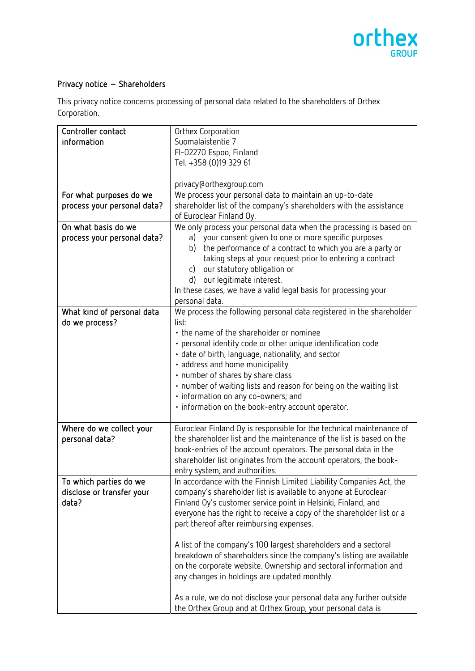

## Privacy notice – Shareholders

This privacy notice concerns processing of personal data related to the shareholders of Orthex Corporation.

| Controller contact          | Orthex Corporation                                                    |
|-----------------------------|-----------------------------------------------------------------------|
| information                 | Suomalaistentie 7                                                     |
|                             | FI-02270 Espoo, Finland                                               |
|                             | Tel. +358 (0)19 329 61                                                |
|                             |                                                                       |
|                             | privacy@orthexgroup.com                                               |
| For what purposes do we     | We process your personal data to maintain an up-to-date               |
| process your personal data? | shareholder list of the company's shareholders with the assistance    |
|                             | of Euroclear Finland Oy.                                              |
| On what basis do we         | We only process your personal data when the processing is based on    |
| process your personal data? | a) your consent given to one or more specific purposes                |
|                             | the performance of a contract to which you are a party or<br>b)       |
|                             | taking steps at your request prior to entering a contract             |
|                             | our statutory obligation or<br>c)                                     |
|                             | our legitimate interest.<br>d)                                        |
|                             |                                                                       |
|                             | In these cases, we have a valid legal basis for processing your       |
|                             | personal data.                                                        |
| What kind of personal data  | We process the following personal data registered in the shareholder  |
| do we process?              | list:                                                                 |
|                             | • the name of the shareholder or nominee                              |
|                             | · personal identity code or other unique identification code          |
|                             | · date of birth, language, nationality, and sector                    |
|                             | · address and home municipality                                       |
|                             | • number of shares by share class                                     |
|                             | • number of waiting lists and reason for being on the waiting list    |
|                             | · information on any co-owners; and                                   |
|                             | · information on the book-entry account operator.                     |
|                             |                                                                       |
| Where do we collect your    | Euroclear Finland Oy is responsible for the technical maintenance of  |
| personal data?              | the shareholder list and the maintenance of the list is based on the  |
|                             | book-entries of the account operators. The personal data in the       |
|                             | shareholder list originates from the account operators, the book-     |
|                             |                                                                       |
|                             | entry system, and authorities.                                        |
| To which parties do we      | In accordance with the Finnish Limited Liability Companies Act, the   |
| disclose or transfer your   | company's shareholder list is available to anyone at Euroclear        |
| data?                       | Finland Oy's customer service point in Helsinki, Finland, and         |
|                             | everyone has the right to receive a copy of the shareholder list or a |
|                             | part thereof after reimbursing expenses.                              |
|                             |                                                                       |
|                             | A list of the company's 100 largest shareholders and a sectoral       |
|                             | breakdown of shareholders since the company's listing are available   |
|                             | on the corporate website. Ownership and sectoral information and      |
|                             | any changes in holdings are updated monthly.                          |
|                             |                                                                       |
|                             | As a rule, we do not disclose your personal data any further outside  |
|                             | the Orthex Group and at Orthex Group, your personal data is           |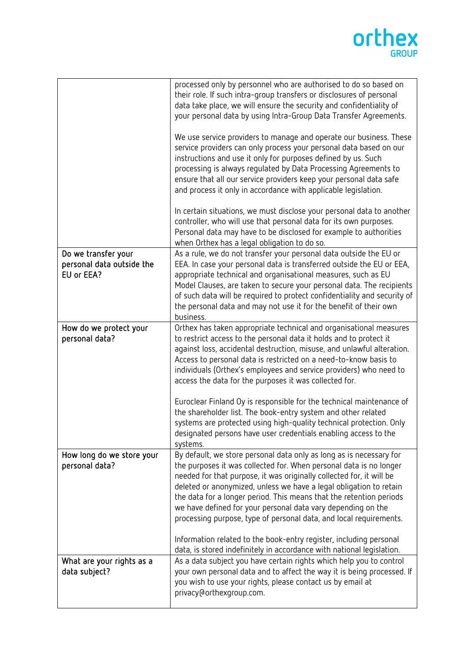## orthex

|                                                                | processed only by personnel who are authorised to do so based on<br>their role. If such intra-group transfers or disclosures of personal<br>data take place, we will ensure the security and confidentiality of<br>your personal data by using Intra-Group Data Transfer Agreements.<br>We use service providers to manage and operate our business. These<br>service providers can only process your personal data based on our<br>instructions and use it only for purposes defined by us. Such<br>processing is always regulated by Data Processing Agreements to<br>ensure that all our service providers keep your personal data safe<br>and process it only in accordance with applicable legislation.<br>In certain situations, we must disclose your personal data to another<br>controller, who will use that personal data for its own purposes.<br>Personal data may have to be disclosed for example to authorities<br>when Orthex has a legal obligation to do so. |
|----------------------------------------------------------------|---------------------------------------------------------------------------------------------------------------------------------------------------------------------------------------------------------------------------------------------------------------------------------------------------------------------------------------------------------------------------------------------------------------------------------------------------------------------------------------------------------------------------------------------------------------------------------------------------------------------------------------------------------------------------------------------------------------------------------------------------------------------------------------------------------------------------------------------------------------------------------------------------------------------------------------------------------------------------------|
| Do we transfer your<br>personal data outside the<br>EU or EEA? | As a rule, we do not transfer your personal data outside the EU or<br>EEA. In case your personal data is transferred outside the EU or EEA,<br>appropriate technical and organisational measures, such as EU<br>Model Clauses, are taken to secure your personal data. The recipients<br>of such data will be required to protect confidentiality and security of                                                                                                                                                                                                                                                                                                                                                                                                                                                                                                                                                                                                               |
|                                                                | the personal data and may not use it for the benefit of their own<br>business.                                                                                                                                                                                                                                                                                                                                                                                                                                                                                                                                                                                                                                                                                                                                                                                                                                                                                                  |
| How do we protect your<br>personal data?                       | Orthex has taken appropriate technical and organisational measures<br>to restrict access to the personal data it holds and to protect it<br>against loss, accidental destruction, misuse, and unlawful alteration.<br>Access to personal data is restricted on a need-to-know basis to<br>individuals (Orthex's employees and service providers) who need to<br>access the data for the purposes it was collected for.<br>Euroclear Finland Oy is responsible for the technical maintenance of<br>the shareholder list. The book-entry system and other related<br>systems are protected using high-quality technical protection. Only<br>designated persons have user credentials enabling access to the<br>systems.                                                                                                                                                                                                                                                           |
| How long do we store your<br>personal data?                    | By default, we store personal data only as long as is necessary for<br>the purposes it was collected for. When personal data is no longer<br>needed for that purpose, it was originally collected for, it will be<br>deleted or anonymized, unless we have a legal obligation to retain<br>the data for a longer period. This means that the retention periods<br>we have defined for your personal data vary depending on the<br>processing purpose, type of personal data, and local requirements.<br>Information related to the book-entry register, including personal<br>data, is stored indefinitely in accordance with national legislation.                                                                                                                                                                                                                                                                                                                             |
| What are your rights as a<br>data subject?                     | As a data subject you have certain rights which help you to control<br>your own personal data and to affect the way it is being processed. If<br>you wish to use your rights, please contact us by email at<br>privacy@orthexgroup.com.                                                                                                                                                                                                                                                                                                                                                                                                                                                                                                                                                                                                                                                                                                                                         |